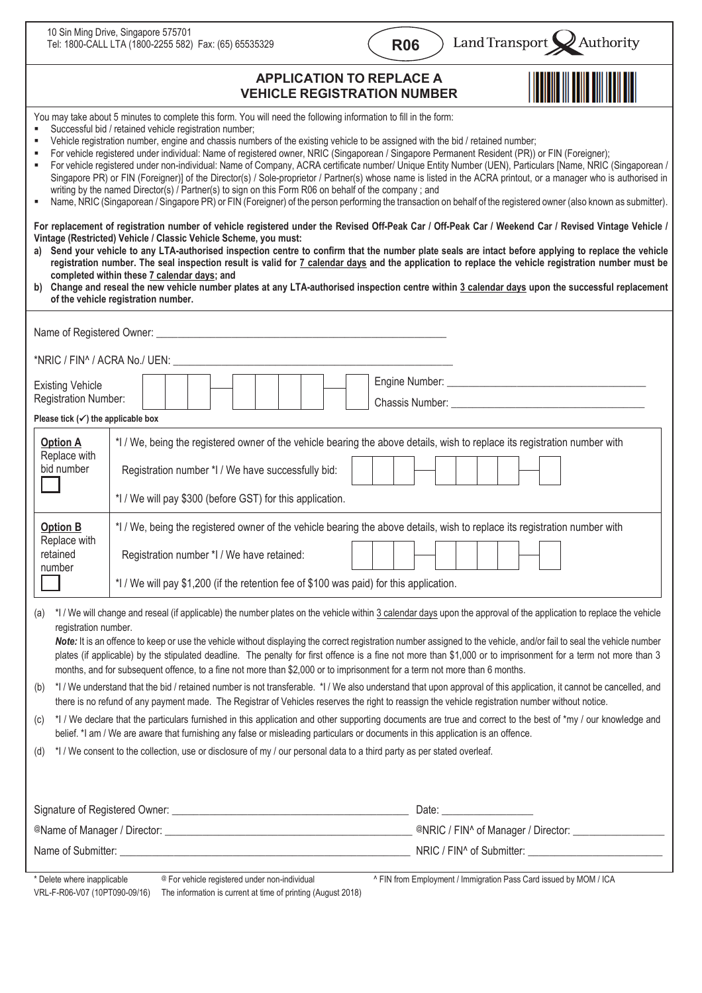|                                                                                                                                                                                                                                                                                                                                                                                                                                                                                                                                                                                                                                                                                                                                                                                                                                                                                                                                                                                                                                                                                                                                                                                                                                                                                                                                                                                                                                                                                                                                                                                                                                                                                                                                                                                                                                                                             | 10 Sin Ming Drive, Singapore 575701<br>Tel: 1800-CALL LTA (1800-2255 582) Fax: (65) 65535329                                                                                                                                                                        | <b>R06</b> |                                  | Land Transport Authority |
|-----------------------------------------------------------------------------------------------------------------------------------------------------------------------------------------------------------------------------------------------------------------------------------------------------------------------------------------------------------------------------------------------------------------------------------------------------------------------------------------------------------------------------------------------------------------------------------------------------------------------------------------------------------------------------------------------------------------------------------------------------------------------------------------------------------------------------------------------------------------------------------------------------------------------------------------------------------------------------------------------------------------------------------------------------------------------------------------------------------------------------------------------------------------------------------------------------------------------------------------------------------------------------------------------------------------------------------------------------------------------------------------------------------------------------------------------------------------------------------------------------------------------------------------------------------------------------------------------------------------------------------------------------------------------------------------------------------------------------------------------------------------------------------------------------------------------------------------------------------------------------|---------------------------------------------------------------------------------------------------------------------------------------------------------------------------------------------------------------------------------------------------------------------|------------|----------------------------------|--------------------------|
| <b>APPLICATION TO REPLACE A</b><br><b>VEHICLE REGISTRATION NUMBER</b>                                                                                                                                                                                                                                                                                                                                                                                                                                                                                                                                                                                                                                                                                                                                                                                                                                                                                                                                                                                                                                                                                                                                                                                                                                                                                                                                                                                                                                                                                                                                                                                                                                                                                                                                                                                                       |                                                                                                                                                                                                                                                                     |            |                                  |                          |
| You may take about 5 minutes to complete this form. You will need the following information to fill in the form:<br>Successful bid / retained vehicle registration number;<br>Vehicle registration number, engine and chassis numbers of the existing vehicle to be assigned with the bid / retained number;<br>For vehicle registered under individual: Name of registered owner, NRIC (Singaporean / Singapore Permanent Resident (PR)) or FIN (Foreigner);<br>For vehicle registered under non-individual: Name of Company, ACRA certificate number/ Unique Entity Number (UEN), Particulars [Name, NRIC (Singaporean /<br>٠<br>Singapore PR) or FIN (Foreigner)] of the Director(s) / Sole-proprietor / Partner(s) whose name is listed in the ACRA printout, or a manager who is authorised in<br>writing by the named Director(s) / Partner(s) to sign on this Form R06 on behalf of the company; and<br>Name, NRIC (Singaporean / Singapore PR) or FIN (Foreigner) of the person performing the transaction on behalf of the registered owner (also known as submitter).<br>For replacement of registration number of vehicle registered under the Revised Off-Peak Car / Off-Peak Car / Weekend Car / Revised Vintage Vehicle /<br>Vintage (Restricted) Vehicle / Classic Vehicle Scheme, you must:<br>Send your vehicle to any LTA-authorised inspection centre to confirm that the number plate seals are intact before applying to replace the vehicle<br>a) -<br>registration number. The seal inspection result is valid for 7 calendar days and the application to replace the vehicle registration number must be<br>completed within these 7 calendar days; and<br>b) Change and reseal the new vehicle number plates at any LTA-authorised inspection centre within 3 calendar days upon the successful replacement<br>of the vehicle registration number. |                                                                                                                                                                                                                                                                     |            |                                  |                          |
|                                                                                                                                                                                                                                                                                                                                                                                                                                                                                                                                                                                                                                                                                                                                                                                                                                                                                                                                                                                                                                                                                                                                                                                                                                                                                                                                                                                                                                                                                                                                                                                                                                                                                                                                                                                                                                                                             |                                                                                                                                                                                                                                                                     |            |                                  |                          |
| *NRIC / FIN^ / ACRA No./ UEN: ____________                                                                                                                                                                                                                                                                                                                                                                                                                                                                                                                                                                                                                                                                                                                                                                                                                                                                                                                                                                                                                                                                                                                                                                                                                                                                                                                                                                                                                                                                                                                                                                                                                                                                                                                                                                                                                                  |                                                                                                                                                                                                                                                                     |            |                                  |                          |
| <b>Existing Vehicle</b><br>Registration Number:<br>Chassis Number: The Chassis Number:                                                                                                                                                                                                                                                                                                                                                                                                                                                                                                                                                                                                                                                                                                                                                                                                                                                                                                                                                                                                                                                                                                                                                                                                                                                                                                                                                                                                                                                                                                                                                                                                                                                                                                                                                                                      |                                                                                                                                                                                                                                                                     |            |                                  |                          |
| Please tick $(\checkmark)$ the applicable box                                                                                                                                                                                                                                                                                                                                                                                                                                                                                                                                                                                                                                                                                                                                                                                                                                                                                                                                                                                                                                                                                                                                                                                                                                                                                                                                                                                                                                                                                                                                                                                                                                                                                                                                                                                                                               |                                                                                                                                                                                                                                                                     |            |                                  |                          |
| <b>Option A</b><br>Replace with<br>bid number                                                                                                                                                                                                                                                                                                                                                                                                                                                                                                                                                                                                                                                                                                                                                                                                                                                                                                                                                                                                                                                                                                                                                                                                                                                                                                                                                                                                                                                                                                                                                                                                                                                                                                                                                                                                                               | *I / We, being the registered owner of the vehicle bearing the above details, wish to replace its registration number with<br>Registration number *I / We have successfully bid:<br>*I / We will pay \$300 (before GST) for this application.                       |            |                                  |                          |
| <b>Option B</b><br>Replace with<br>retained<br>number                                                                                                                                                                                                                                                                                                                                                                                                                                                                                                                                                                                                                                                                                                                                                                                                                                                                                                                                                                                                                                                                                                                                                                                                                                                                                                                                                                                                                                                                                                                                                                                                                                                                                                                                                                                                                       | *I / We, being the registered owner of the vehicle bearing the above details, wish to replace its registration number with<br>Registration number *I / We have retained:<br>*I / We will pay \$1,200 (if the retention fee of \$100 was paid) for this application. |            |                                  |                          |
| *I / We will change and reseal (if applicable) the number plates on the vehicle within 3 calendar days upon the approval of the application to replace the vehicle<br>(a)<br>registration number.<br>Note: It is an offence to keep or use the vehicle without displaying the correct registration number assigned to the vehicle, and/or fail to seal the vehicle number<br>plates (if applicable) by the stipulated deadline. The penalty for first offence is a fine not more than \$1,000 or to imprisonment for a term not more than 3<br>months, and for subsequent offence, to a fine not more than \$2,000 or to imprisonment for a term not more than 6 months.<br>*I / We understand that the bid / retained number is not transferable. *I / We also understand that upon approval of this application, it cannot be cancelled, and<br>(b)<br>there is no refund of any payment made. The Registrar of Vehicles reserves the right to reassign the vehicle registration number without notice.<br>*I / We declare that the particulars furnished in this application and other supporting documents are true and correct to the best of *my / our knowledge and<br>(C)                                                                                                                                                                                                                                                                                                                                                                                                                                                                                                                                                                                                                                                                                           |                                                                                                                                                                                                                                                                     |            |                                  |                          |
| belief. *I am / We are aware that furnishing any false or misleading particulars or documents in this application is an offence.<br>*I / We consent to the collection, use or disclosure of my / our personal data to a third party as per stated overleaf.<br>(d)                                                                                                                                                                                                                                                                                                                                                                                                                                                                                                                                                                                                                                                                                                                                                                                                                                                                                                                                                                                                                                                                                                                                                                                                                                                                                                                                                                                                                                                                                                                                                                                                          |                                                                                                                                                                                                                                                                     |            |                                  |                          |
|                                                                                                                                                                                                                                                                                                                                                                                                                                                                                                                                                                                                                                                                                                                                                                                                                                                                                                                                                                                                                                                                                                                                                                                                                                                                                                                                                                                                                                                                                                                                                                                                                                                                                                                                                                                                                                                                             |                                                                                                                                                                                                                                                                     |            | Date: <u>___________________</u> |                          |
|                                                                                                                                                                                                                                                                                                                                                                                                                                                                                                                                                                                                                                                                                                                                                                                                                                                                                                                                                                                                                                                                                                                                                                                                                                                                                                                                                                                                                                                                                                                                                                                                                                                                                                                                                                                                                                                                             |                                                                                                                                                                                                                                                                     |            |                                  |                          |
|                                                                                                                                                                                                                                                                                                                                                                                                                                                                                                                                                                                                                                                                                                                                                                                                                                                                                                                                                                                                                                                                                                                                                                                                                                                                                                                                                                                                                                                                                                                                                                                                                                                                                                                                                                                                                                                                             |                                                                                                                                                                                                                                                                     |            |                                  |                          |
| * Delete where inapplicable<br>@ For vehicle registered under non-individual<br>^ FIN from Employment / Immigration Pass Card issued by MOM / ICA<br>The information is current at time of printing (August 2018)<br>VRL-F-R06-V07 (10PT090-09/16)                                                                                                                                                                                                                                                                                                                                                                                                                                                                                                                                                                                                                                                                                                                                                                                                                                                                                                                                                                                                                                                                                                                                                                                                                                                                                                                                                                                                                                                                                                                                                                                                                          |                                                                                                                                                                                                                                                                     |            |                                  |                          |